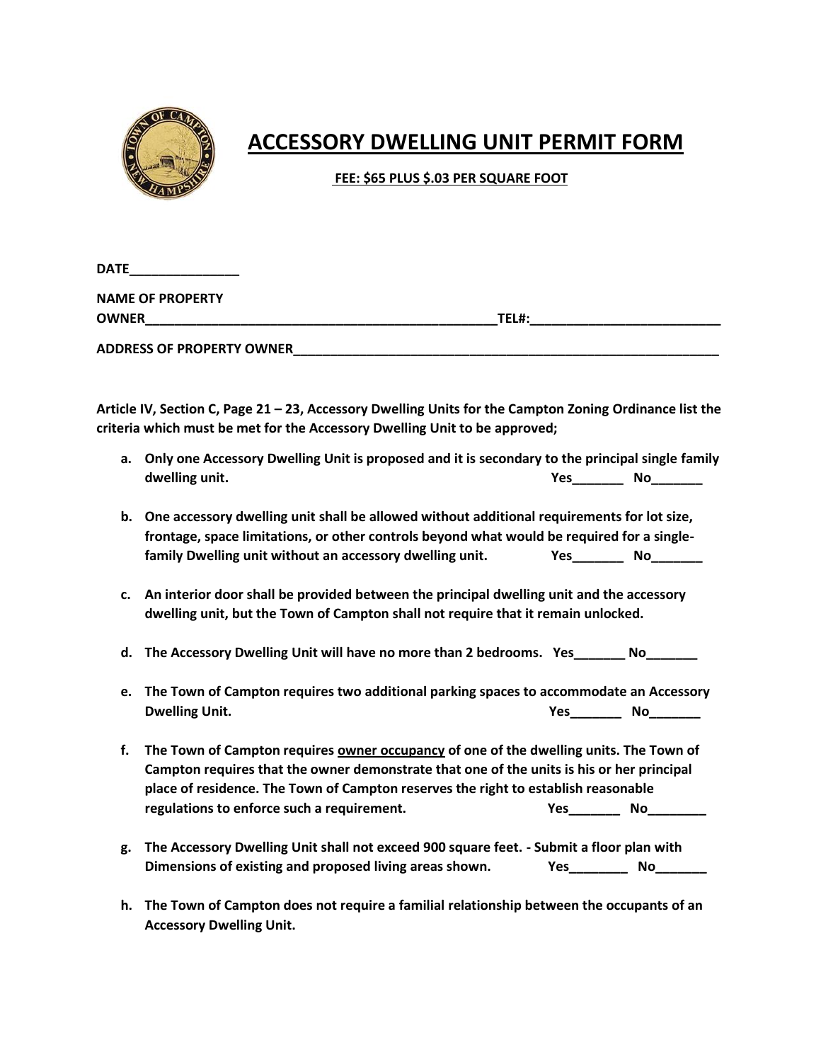

## **ACCESSORY DWELLING UNIT PERMIT FORM**

 **FEE: \$65 PLUS \$.03 PER SQUARE FOOT**

| <b>DATE</b>                      |       |  |
|----------------------------------|-------|--|
| <b>NAME OF PROPERTY</b>          |       |  |
| <b>OWNER</b>                     | TEL#: |  |
| <b>ADDRESS OF PROPERTY OWNER</b> |       |  |

**Article IV, Section C, Page 21 – 23, Accessory Dwelling Units for the Campton Zoning Ordinance list the criteria which must be met for the Accessory Dwelling Unit to be approved;**

- **a. Only one Accessory Dwelling Unit is proposed and it is secondary to the principal single family dwelling unit.**  $\begin{array}{ccc}\n\bullet & \bullet & \bullet \\
\bullet & \bullet & \bullet\n\end{array}$  **Yes\_\_\_\_\_\_\_\_\_\_\_\_\_\_\_\_\_\_\_\_\_\_\_\_\_\_**
- **b. One accessory dwelling unit shall be allowed without additional requirements for lot size, frontage, space limitations, or other controls beyond what would be required for a singlefamily Dwelling unit without an accessory dwelling unit. Yes\_\_\_\_\_\_\_ No\_\_\_\_\_\_\_**
- **c. An interior door shall be provided between the principal dwelling unit and the accessory dwelling unit, but the Town of Campton shall not require that it remain unlocked.**
- **d. The Accessory Dwelling Unit will have no more than 2 bedrooms. Yes\_\_\_\_\_\_\_ No\_\_\_\_\_\_\_**
- **e. The Town of Campton requires two additional parking spaces to accommodate an Accessory Dwelling Unit. Yes\_\_\_\_\_\_\_ No\_\_\_\_\_\_\_**
- **f. The Town of Campton requires owner occupancy of one of the dwelling units. The Town of Campton requires that the owner demonstrate that one of the units is his or her principal place of residence. The Town of Campton reserves the right to establish reasonable regulations to enforce such a requirement.** The state of the state of the No
- **g. The Accessory Dwelling Unit shall not exceed 900 square feet. - Submit a floor plan with Dimensions of existing and proposed living areas shown. Yes\_\_\_\_\_\_\_\_ No\_\_\_\_\_\_\_**
- **h. The Town of Campton does not require a familial relationship between the occupants of an Accessory Dwelling Unit.**